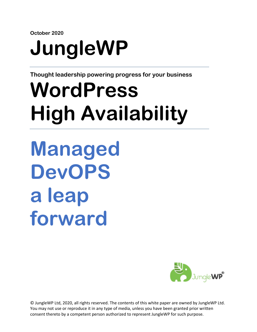**October 2020**

# **JungleWP**

**Thought leadership powering progress for your business**

# **WordPress High Availability**

<span id="page-0-0"></span>**Managed DevOPS a leap forward**

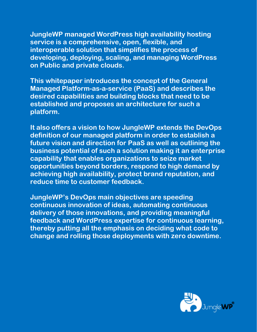**JungleWP managed WordPress high availability hosting service is a comprehensive, open, flexible, and interoperable solution that simplifies the process of developing, deploying, scaling, and managing WordPress on Public and private clouds.**

**This whitepaper introduces the concept of the General Managed Platform-as-a-service (PaaS) and describes the desired capabilities and building blocks that need to be established and proposes an architecture for such a platform.**

**It also offers a vision to how JungleWP extends the DevOps definition of our managed platform in order to establish a future vision and direction for PaaS as well as outlining the business potential of such a solution making it an enterprise capability that enables organizations to seize market opportunities beyond borders, respond to high demand by achieving high availability, protect brand reputation, and reduce time to customer feedback.** 

**JungleWP's DevOps main objectives are speeding continuous innovation of ideas, automating continuous delivery of those innovations, and providing meaningful feedback and WordPress expertise for continuous learning, thereby putting all the emphasis on deciding what code to change and rolling those deployments with zero downtime.**

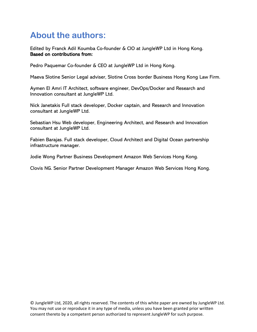# <span id="page-2-0"></span>**About the authors:**

Edited by Franck Adil Koumba Co-founder & CIO at JungleWP Ltd in Hong Kong. Based on contributions from:

Pedro Paquemar Co-founder & CEO at JungleWP Ltd in Hong Kong.

Maeva Slotine Senior Legal adviser, Slotine Cross border Business Hong Kong Law Firm.

Aymen El Amri IT Architect, software engineer, DevOps/Docker and Research and Innovation consultant at JungleWP Ltd.

Nick Janetakis Full stack developer, Docker captain, and Research and Innovation consultant at JungleWP Ltd.

Sebastian Hsu Web developer, Engineering Architect, and Research and Innovation consultant at JungleWP Ltd.

Fabien Barajas. Full stack developer, Cloud Architect and Digital Ocean partnership infrastructure manager.

Jodie Wong Partner Business Development Amazon Web Services Hong Kong.

Clovis NG. Senior Partner Development Manager Amazon Web Services Hong Kong.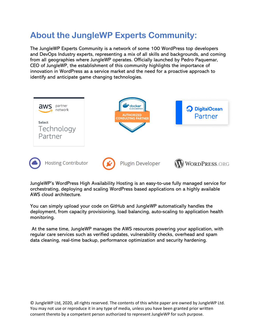# <span id="page-3-0"></span>**About the JungleWP Experts Community:**

The JungleWP Experts Community is a network of some 100 WordPress top developers and DevOps Industry experts, representing a mix of all skills and backgrounds, and coming from all geographies where JungleWP operates. Officially launched by Pedro Paquemar, CEO of JungleWP, the establishment of this community highlights the importance of innovation in WordPress as a service market and the need for a proactive approach to identify and anticipate game changing technologies.



JungleWP's WordPress High Availability Hosting is an easy-to-use fully managed service for orchestrating, deploying and scaling WordPress based applications on a highly available AWS cloud architecture.

You can simply upload your code on GitHub and JungleWP automatically handles the deployment, from capacity provisioning, load balancing, auto-scaling to application health monitoring.

At the same time, JungleWP manages the AWS resources powering your application, with regular care services such as verified updates, vulnerability checks, overhead and spam data cleaning, real-time backup, performance optimization and security hardening.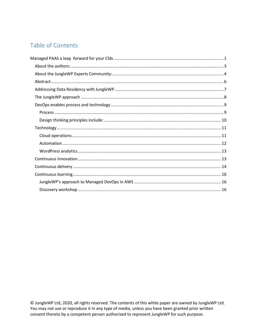#### Table of Contents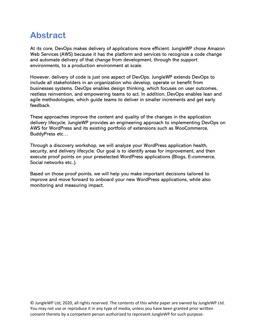### <span id="page-5-0"></span>**Abstract**

At its core, DevOps makes delivery of applications more efficient. JungleWP chose Amazon Web Services (AWS) because it has the platform and services to recognize a code change and automate delivery of that change from development, through the support environments, to a production environment at scale.

However, delivery of code is just one aspect of DevOps. JungleWP extends DevOps to include all stakeholders in an organization who develop, operate or benefit from businesses systems. DevOps enables design thinking, which focuses on user outcomes, restless reinvention, and empowering teams to act. In addition, DevOps enables lean and agile methodologies, which guide teams to deliver in smaller increments and get early feedback.

These approaches improve the content and quality of the changes in the application delivery lifecycle. JungleWP provides an engineering approach to implementing DevOps on AWS for WordPress and its existing portfolio of extensions such as WooCommerce, BuddyPress etc…

Through a discovery workshop, we will analyze your WordPress application health, security, and delivery lifecycle. Our goal is to identify areas for improvement, and then execute proof points on your preselected WordPress applications (Blogs, E-commerce, Social networks etc..).

Based on those proof points, we will help you make important decisions tailored to improve and move forward to onboard your new WordPress applications, while also monitoring and measuring impact.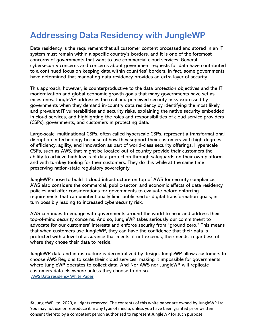# <span id="page-6-0"></span>**Addressing Data Residency with JungleWP**

Data residency is the requirement that all customer content processed and stored in an IT system must remain within a specific country's borders, and it is one of the foremost concerns of governments that want to use commercial cloud services. General cybersecurity concerns and concerns about government requests for data have contributed to a continued focus on keeping data within countries' borders. In fact, some governments have determined that mandating data residency provides an extra layer of security.

This approach, however, is counterproductive to the data protection objectives and the IT modernization and global economic growth goals that many governments have set as milestones. JungleWP addresses the real and perceived security risks expressed by governments when they demand in-country data residency by identifying the most likely and prevalent IT vulnerabilities and security risks, explaining the native security embedded in cloud services, and highlighting the roles and responsibilities of cloud service providers (CSPs), governments, and customers in protecting data.

Large-scale, multinational CSPs, often called hyperscale CSPs, represent a transformational disruption in technology because of how they support their customers with high degrees of efficiency, agility, and innovation as part of world-class security offerings. Hyperscale CSPs, such as AWS, that might be located out of country provide their customers the ability to achieve high levels of data protection through safeguards on their own platform and with turnkey tooling for their customers. They do this while at the same time preserving nation-state regulatory sovereignty.

JungleWP chose to build it cloud infrastructure on top of AWS for security compliance. AWS also considers the commercial, public-sector, and economic effects of data residency policies and offer considerations for governments to evaluate before enforcing requirements that can unintentionally limit public-sector digital transformation goals, in turn possibly leading to increased cybersecurity risk.

AWS continues to engage with governments around the world to hear and address their top-of-mind security concerns. And so, JungleWP takes seriously our commitment to advocate for our customers' interests and enforce security from "ground zero." This means that when customers use JungleWP, they can have the confidence that their data is protected with a level of assurance that meets, if not exceeds, their needs, regardless of where they chose their data to reside.

JungleWP data and infrastructure is decentralized by design. JungleWP allows customers to choose AWS Regions to scale their cloud services, making it impossible for governments where JungleWP operates to collect data. And Nor AWS nor JungleWP will replicate customers data elsewhere unless they choose to do so. [AWS Data residency White](https://d1.awsstatic.com/whitepapers/compliance/Data_Residency_Whitepaper.pdf) Paper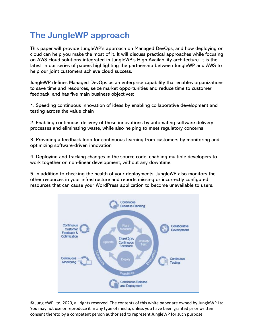# <span id="page-7-0"></span>**The JungleWP approach**

This paper will provide JungleWP's approach on Managed DevOps, and how deploying on cloud can help you make the most of it. It will discuss practical approaches while focusing on AWS cloud solutions integrated in JungleWP's High Availability architecture. It is the latest in our series of papers highlighting the partnership between JungleWP and AWS to help our joint customers achieve cloud success.

JungleWP defines Managed DevOps as an enterprise capability that enables organizations to save time and resources, seize market opportunities and reduce time to customer feedback, and has five main business objectives:

1. Speeding continuous innovation of ideas by enabling collaborative development and testing across the value chain

2. Enabling continuous delivery of these innovations by automating software delivery processes and eliminating waste, while also helping to meet regulatory concerns

3. Providing a feedback loop for continuous learning from customers by monitoring and optimizing software-driven innovation

4. Deploying and tracking changes in the source code, enabling multiple developers to work together on non-linear development, without any downtime.

5. In addition to checking the health of your deployments, JungleWP also monitors the other resources in your infrastructure and reports missing or incorrectly configured resources that can cause your WordPress application to become unavailable to users.

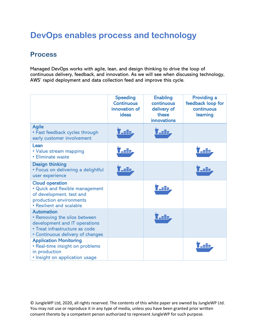# <span id="page-8-0"></span>**DevOps enables process and technology**

#### <span id="page-8-1"></span>**Process**

Managed DevOps works with agile, lean, and design thinking to drive the loop of continuous delivery, feedback, and innovation. As we will see when discussing technology, AWS' rapid deployment and data collection feed and improve this cycle.

|                                                                                                                                                          | <b>Speeding</b><br><b>Continuous</b><br>innovation of<br>ideas | <b>Enabling</b><br>continuous<br>delivery of<br>these<br><b>innovations</b> | <b>Providing a</b><br>feedback loop for<br>continuous<br>learning |
|----------------------------------------------------------------------------------------------------------------------------------------------------------|----------------------------------------------------------------|-----------------------------------------------------------------------------|-------------------------------------------------------------------|
| <b>Agile</b><br>• Fast feedback cycles through<br>early customer involvement                                                                             | a ib                                                           | _=2p                                                                        |                                                                   |
| Lean<br>• Value stream mapping<br>• Eliminate waste                                                                                                      | asib.                                                          |                                                                             |                                                                   |
| <b>Design thinking</b><br>• Focus on delivering a delightful<br>user experience                                                                          | . sile                                                         |                                                                             |                                                                   |
| <b>Cloud operation</b><br>· Quick and flexible management<br>of development, test and<br>production environments<br>• Resilient and scalable             |                                                                | ÆÐ                                                                          |                                                                   |
| <b>Automation</b><br>• Removing the silos between<br>development and IT operations<br>• Treat infrastructure as code<br>• Continuous delivery of changes |                                                                |                                                                             |                                                                   |
| <b>Application Monitoring</b><br>• Real-time insight on problems<br>in production<br>• Insight on application usage                                      |                                                                |                                                                             | an B                                                              |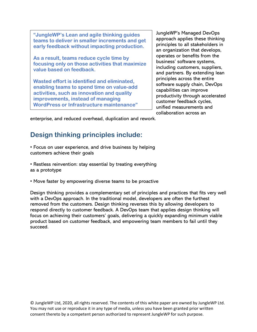**"JungleWP's Lean and agile thinking guides teams to deliver in smaller increments and get early feedback without impacting production.**

**As a result, teams reduce cycle time by focusing only on those activities that maximize value based on feedback.**

**Wasted effort is identified and eliminated, enabling teams to spend time on value-add activities, such as innovation and quality improvements, instead of managing WordPress or Infrastructure maintenance"**

JungleWP's Managed DevOps approach applies these thinking principles to all stakeholders in an organization that develops, operates or benefits from the business' software systems, including customers, suppliers, and partners. By extending lean principles across the entire software supply chain, DevOps capabilities can improve productivity through accelerated customer feedback cycles, unified measurements and collaboration across an

<span id="page-9-0"></span>enterprise, and reduced overhead, duplication and rework.

#### **Design thinking principles include:**

• Focus on user experience, and drive business by helping customers achieve their goals

• Restless reinvention: stay essential by treating everything as a prototype

• Move faster by empowering diverse teams to be proactive

Design thinking provides a complementary set of principles and practices that fits very well with a DevOps approach. In the traditional model, developers are often the furthest removed from the customers. Design thinking reverses this by allowing developers to respond directly to customer feedback. A DevOps team that applies design thinking will focus on achieving their customers' goals, delivering a quickly expanding minimum viable product based on customer feedback, and empowering team members to fail until they succeed.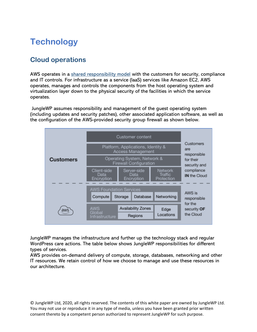# <span id="page-10-0"></span>**Technology**

#### <span id="page-10-1"></span>**Cloud operations**

AWS operates in a [shared responsibility model](https://aws.amazon.com/compliance/shared-responsibility-model/) with the customers for security, compliance and IT controls. For infrastructure as a service (IaaS) services like Amazon EC2, AWS operates, manages and controls the components from the host operating system and virtualization layer down to the physical security of the facilities in which the service operates.

JungleWP assumes responsibility and management of the guest operating system (including updates and security patches), other associated application software, as well as the configuration of the AWS-provided security group firewall as shown below.



JungleWP manages the infrastructure and further up the technology stack and regular WordPress care actions. The table below shows JungleWP responsibilities for different types of services.

AWS provides on-demand delivery of compute, storage, databases, networking and other IT resources. We retain control of how we choose to manage and use these resources in our architecture.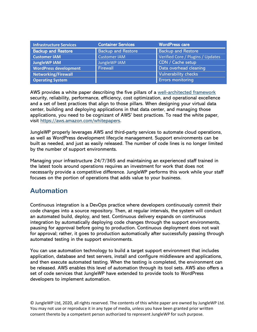| <b>Infrastructure Services</b> | Container Services        | <b>WordPress care</b>             |
|--------------------------------|---------------------------|-----------------------------------|
| <b>Backup and Restore</b>      | <b>Backup and Restore</b> | <b>Backup and Restore</b>         |
| <b>Customer IAM</b>            | <b>Customer IAM</b>       | Verified Core / Plugins / Updates |
| <b>JungleWP IAM</b>            | JungleWP IAM              | CDN / Cache setup                 |
| <b>WordPress development</b>   | Firewall                  | Data overhead cleaning            |
| <b>Networking/Firewall</b>     |                           | <b>Vulnerability checks</b>       |
| <b>Operating System</b>        |                           | <b>Errors monitoring</b>          |

AWS provides a white paper describing the five pillars of a [well-architected framework](https://d1.awsstatic.com/whitepapers/architecture/AWS_Well-Architected_Framework.pdf) security, reliability, performance, efficiency, cost optimization, and operational excellence and a set of best practices that align to those pillars. When designing your virtual data center, building and deploying applications in that data center, and managing those applications, you need to be cognizant of AWS' best practices. To read the white paper, visit [https://aws.amazon.com/whitepapers.](https://aws.amazon.com/whitepapers)

JungleWP properly leverages AWS and third-party services to automate cloud operations, as well as WordPress development lifecycle management. Support environments can be built as needed, and just as easily released. The number of code lines is no longer limited by the number of support environments.

Managing your infrastructure 24/7/365 and maintaining an experienced staff trained in the latest tools around operations requires an investment for work that does not necessarily provide a competitive difference. JungleWP performs this work while your staff focuses on the portion of operations that adds value to your business.

#### <span id="page-11-0"></span>**Automation**

Continuous integration is a DevOps practice where developers continuously commit their code changes into a source repository. Then, at regular intervals, the system will conduct an automated build, deploy, and test. Continuous delivery expands on continuous integration by automatically deploying code changes through the support environments, pausing for approval before going to production. Continuous deployment does not wait for approval; rather, it goes to production automatically after successfully passing through automated testing in the support environments.

You can use automation technology to build a target support environment that includes application, database and test servers, install and configure middleware and applications, and then execute automated testing. When the testing is completed, the environment can be released. AWS enables this level of automation through its tool sets. AWS also offers a set of code services that JungleWP have extended to provide tools to WordPress developers to implement automation.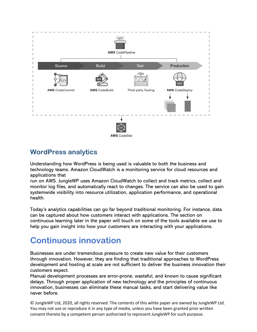

#### <span id="page-12-0"></span>**WordPress analytics**

Understanding how WordPress is being used is valuable to both the business and technology teams. Amazon CloudWatch is a monitoring service for cloud resources and applications that

run on AWS. JungleWP uses Amazon CloudWatch to collect and track metrics, collect and monitor log files, and automatically react to changes. The service can also be used to gain systemwide visibility into resource utilization, application performance, and operational health.

Today's analytics capabilities can go far beyond traditional monitoring. For instance, data can be captured about how customers interact with applications. The section on continuous learning later in the paper will touch on some of the tools available we use to help you gain insight into how your customers are interacting with your applications.

## <span id="page-12-1"></span>**Continuous innovation**

Businesses are under tremendous pressure to create new value for their customers through innovation. However, they are finding that traditional approaches to WordPress development and hosting at scale are not sufficient to deliver the business innovation their customers expect.

Manual development processes are error-prone, wasteful, and known to cause significant delays. Through proper application of new technology and the principles of continuous innovation, businesses can eliminate these manual tasks, and start delivering value like never before.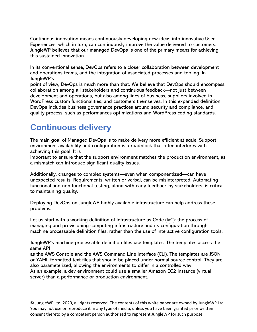Continuous innovation means continuously developing new ideas into innovative User Experiences, which in turn, can continuously improve the value delivered to customers. JungleWP believes that our managed DevOps is one of the primary means for achieving this sustained innovation.

In its conventional sense, DevOps refers to a closer collaboration between development and operations teams, and the integration of associated processes and tooling. In JungleWP's

point of view, DevOps is much more than that. We believe that DevOps should encompass collaboration among all stakeholders and continuous feedback—not just between development and operations, but also among lines of business, suppliers involved in WordPress custom functionalities, and customers themselves. In this expanded definition, DevOps includes business governance practices around security and compliance, and quality process, such as performances optimizations and WordPress coding standards.

### <span id="page-13-0"></span>**Continuous delivery**

The main goal of Managed DevOps is to make delivery more efficient at scale. Support environment availability and configuration is a roadblock that often interferes with achieving this goal. It is

important to ensure that the support environment matches the production environment, as a mismatch can introduce significant quality issues.

Additionally, changes to complex systems—even when componentized—can have unexpected results. Requirements, written or verbal, can be misinterpreted. Automating functional and non-functional testing, along with early feedback by stakeholders, is critical to maintaining quality.

Deploying DevOps on JungleWP highly available infrastructure can help address these problems.

Let us start with a working definition of Infrastructure as Code (IaC): the process of managing and provisioning computing infrastructure and its configuration through machine processable definition files, rather than the use of interactive configuration tools.

JungleWP's machine-processable definition files use templates. The templates access the same API

as the AWS Console and the AWS Command Line Interface (CLI). The templates are JSON or YAML formatted text files that should be placed under normal source control. They are also parameterized, allowing the environments to differ in a controlled way.

As an example, a dev environment could use a smaller Amazon EC2 instance (virtual server) than a performance or production environment.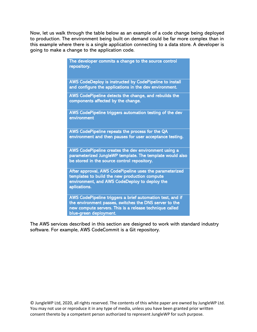Now, let us walk through the table below as an example of a code change being deployed to production. The environment being built on demand could be far more complex than in this example where there is a single application connecting to a data store. A developer is going to make a change to the application code.

| The developer commits a change to the source control<br>repository.                                                                                                                                      |
|----------------------------------------------------------------------------------------------------------------------------------------------------------------------------------------------------------|
| AWS CodeDeploy is instructed by CodePipeline to install<br>and configure the applications in the dev environment.                                                                                        |
| AWS CodePipeline detects the change, and rebuilds the<br>components affected by the change.                                                                                                              |
| AWS CodePipeline triggers automation testing of the dev<br>environment                                                                                                                                   |
| AWS CodePipeline repeats the process for the QA<br>environment and then pauses for user acceptance testing.                                                                                              |
| AWS CodePipeline creates the dev environment using a<br>parameterized JungleWP template. The template would also<br>be stored in the source control repository.                                          |
| After approval, AWS CodePipeline uses the parameterized<br>templates to build the new production compute<br>environment, and AWS CodeDeploy to deploy the<br>aplications.                                |
| AWS CodePipeline triggers a brief automation test, and if<br>the environment passes, switches the DNS server to the<br>new compute servers. This is a release technique called<br>blue-green deployment. |

The AWS services described in this section are designed to work with standard industry software. For example, AWS CodeCommit is a Git repository.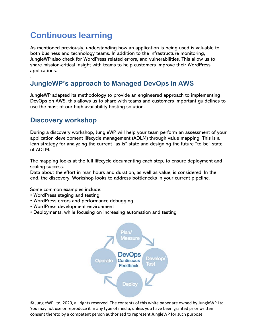# <span id="page-15-0"></span>**Continuous learning**

As mentioned previously, understanding how an application is being used is valuable to both business and technology teams. In addition to the infrastructure monitoring, JungleWP also check for WordPress related errors, and vulnerabilities. This allow us to share mission-critical insight with teams to help customers improve their WordPress applications.

#### <span id="page-15-1"></span>**JungleWP's approach to Managed DevOps in AWS**

JungleWP adapted its methodology to provide an engineered approach to implementing DevOps on AWS, this allows us to share with teams and customers important guidelines to use the most of our high availability hosting solution.

#### <span id="page-15-2"></span>**Discovery workshop**

.

During a discovery workshop, JungleWP will help your team perform an assessment of your application development lifecycle management (ADLM) through value mapping. This is a lean strategy for analyzing the current "as is" state and designing the future "to be" state of ADLM.

The mapping looks at the full lifecycle documenting each step, to ensure deployment and scaling success.

Data about the effort in man hours and duration, as well as value, is considered. In the end, the discovery. Workshop looks to address bottlenecks in your current pipeline.

Some common examples include:

- WordPress staging and testing.
- WordPress errors and performance debugging
- WordPress development environment
- Deployments, while focusing on increasing automation and testing